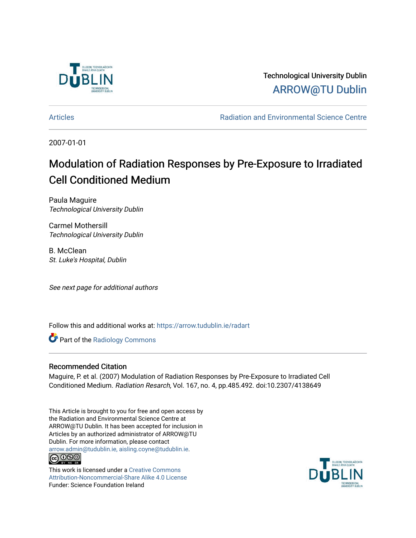

Technological University Dublin [ARROW@TU Dublin](https://arrow.tudublin.ie/) 

[Articles](https://arrow.tudublin.ie/radart) **Articles Radiation and Environmental Science Centre** 

2007-01-01

# Modulation of Radiation Responses by Pre-Exposure to Irradiated Cell Conditioned Medium

Paula Maguire Technological University Dublin

Carmel Mothersill Technological University Dublin

B. McClean St. Luke's Hospital, Dublin

See next page for additional authors

Follow this and additional works at: [https://arrow.tudublin.ie/radart](https://arrow.tudublin.ie/radart?utm_source=arrow.tudublin.ie%2Fradart%2F25&utm_medium=PDF&utm_campaign=PDFCoverPages) 

Part of the [Radiology Commons](http://network.bepress.com/hgg/discipline/705?utm_source=arrow.tudublin.ie%2Fradart%2F25&utm_medium=PDF&utm_campaign=PDFCoverPages) 

## Recommended Citation

Maguire, P. et al. (2007) Modulation of Radiation Responses by Pre-Exposure to Irradiated Cell Conditioned Medium. Radiation Resarch, Vol. 167, no. 4, pp.485.492. doi:10.2307/4138649

This Article is brought to you for free and open access by the Radiation and Environmental Science Centre at ARROW@TU Dublin. It has been accepted for inclusion in Articles by an authorized administrator of ARROW@TU Dublin. For more information, please contact [arrow.admin@tudublin.ie, aisling.coyne@tudublin.ie](mailto:arrow.admin@tudublin.ie,%20aisling.coyne@tudublin.ie). **@@@** 

This work is licensed under a [Creative Commons](http://creativecommons.org/licenses/by-nc-sa/4.0/) [Attribution-Noncommercial-Share Alike 4.0 License](http://creativecommons.org/licenses/by-nc-sa/4.0/) Funder: Science Foundation Ireland

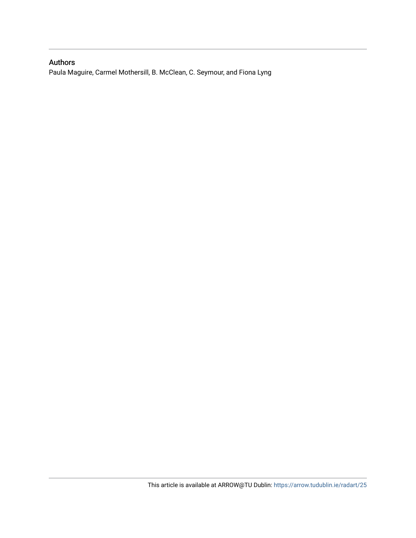## Authors

Paula Maguire, Carmel Mothersill, B. McClean, C. Seymour, and Fiona Lyng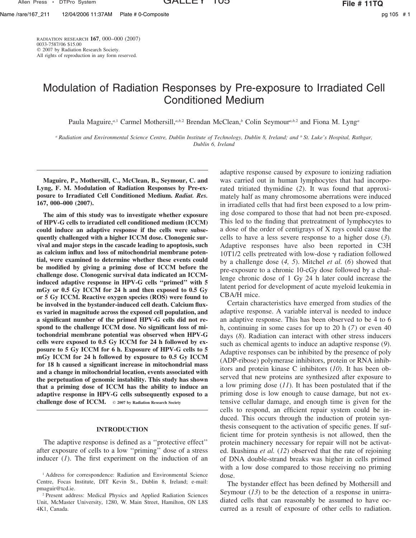Allen Press • DTPro System **GALLEY IOS File # 11TQ** 

RADIATION RESEARCH **167**, 000–000 (2007) 0033-7587/06 \$15.00  $©$  2007 by Radiation Research Society. All rights of reproduction in any form reserved.

## Modulation of Radiation Responses by Pre-exposure to Irradiated Cell Conditioned Medium

Paula Maguire,<sup>*a*,1</sup> Carmel Mothersill,<sup>*a,b,2*</sup> Brendan McClean,<sup>*b*</sup> Colin Seymour<sup>*a,b,2*</sup> and Fiona M. Lyng<sup>*a*</sup>

*<sup>a</sup> Radiation and Environmental Science Centre, Dublin Institute of Technology, Dublin 8, Ireland; and <sup>b</sup> St. Luke's Hospital, Rathgar, Dublin 6, Ireland*

**Maguire, P., Mothersill, C., McClean, B., Seymour, C. and Lyng, F. M. Modulation of Radiation Responses by Pre-exposure to Irradiated Cell Conditioned Medium.** *Radiat. Res.* **167, 000–000 (2007).**

**The aim of this study was to investigate whether exposure of HPV-G cells to irradiated cell conditioned medium (ICCM) could induce an adaptive response if the cells were subsequently challenged with a higher ICCM dose. Clonogenic survival and major steps in the cascade leading to apoptosis, such as calcium influx and loss of mitochondrial membrane potential, were examined to determine whether these events could be modified by giving a priming dose of ICCM before the challenge dose. Clonogenic survival data indicated an ICCMinduced adaptive response in HPV-G cells ''primed'' with 5 mGy or 0.5 Gy ICCM for 24 h and then exposed to 0.5 Gy or 5 Gy ICCM. Reactive oxygen species (ROS) were found to be involved in the bystander-induced cell death. Calcium fluxes varied in magnitude across the exposed cell population, and a significant number of the primed HPV-G cells did not respond to the challenge ICCM dose. No significant loss of mitochondrial membrane potential was observed when HPV-G cells were exposed to 0.5 Gy ICCM for 24 h followed by exposure to 5 Gy ICCM for 6 h. Exposure of HPV-G cells to 5 mGy ICCM for 24 h followed by exposure to 0.5 Gy ICCM for 18 h caused a significant increase in mitochondrial mass and a change in mitochondrial location, events associated with the perpetuation of genomic instability. This study has shown that a priming dose of ICCM has the ability to induce an adaptive response in HPV-G cells subsequently exposed to a challenge dose of ICCM.** - **2007 by Radiation Research Society**

## **INTRODUCTION**

The adaptive response is defined as a ''protective effect'' after exposure of cells to a low ''priming'' dose of a stress inducer (*1*). The first experiment on the induction of an

adaptive response caused by exposure to ionizing radiation was carried out in human lymphocytes that had incorporated tritiated thymidine (*2*). It was found that approximately half as many chromosome aberrations were induced in irradiated cells that had first been exposed to a low priming dose compared to those that had not been pre-exposed. This led to the finding that pretreatment of lymphocytes to a dose of the order of centigrays of X rays could cause the cells to have a less severe response to a higher dose (*3*). Adaptive responses have also been reported in C3H 10T1/2 cells pretreated with low-dose  $\gamma$  radiation followed by a challenge dose (*4, 5*). Mitchel *et al.* (*6*) showed that pre-exposure to a chronic 10-cGy dose followed by a challenge chronic dose of 1 Gy 24 h later could increase the latent period for development of acute myeloid leukemia in CBA/H mice.

Certain characteristics have emerged from studies of the adaptive response. A variable interval is needed to induce an adaptive response. This has been observed to be 4 to 6 h, continuing in some cases for up to 20 h (*7*) or even 40 days (*8*). Radiation can interact with other stress inducers such as chemical agents to induce an adaptive response (*9*). Adaptive responses can be inhibited by the presence of poly (ADP-ribose) polymerase inhibitors, protein or RNA inhibitors and protein kinase C inhibitors (*10*). It has been observed that new proteins are synthesized after exposure to a low priming dose (*11*). It has been postulated that if the priming dose is low enough to cause damage, but not extensive cellular damage, and enough time is given for the cells to respond, an efficient repair system could be induced. This occurs through the induction of protein synthesis consequent to the activation of specific genes. If sufficient time for protein synthesis is not allowed, then the protein machinery necessary for repair will not be activated. Ikushima *et al.* (*12*) observed that the rate of rejoining of DNA double-strand breaks was higher in cells primed with a low dose compared to those receiving no priming dose.

The bystander effect has been defined by Mothersill and Seymour (13) to be the detection of a response in unirradiated cells that can reasonably be assumed to have occurred as a result of exposure of other cells to radiation.

<sup>&</sup>lt;sup>1</sup> Address for correspondence: Radiation and Environmental Science Centre, Focas Institute, DIT Kevin St., Dublin 8, Ireland; e-mail: pmaguir@tcd.ie.

<sup>2</sup> Present address: Medical Physics and Applied Radiation Sciences Unit, McMaster University, 1280, W. Main Street, Hamilton, ON L8S 4K1, Canada.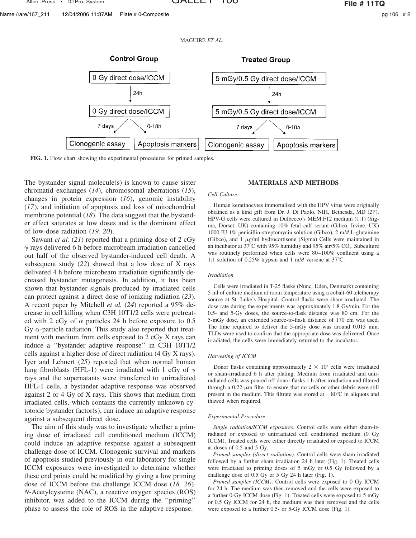Name /rare/167\_211 12/04/2006 11:37AM Plate # 0-Composite pg 106 # 2

MAGUIRE *ET AL.*



**FIG. 1.** Flow chart showing the experimental procedures for primed samples.

The bystander signal molecule(s) is known to cause sister chromatid exchanges (*14*), chromosomal aberrations (*15*), changes in protein expression (*16*), genomic instability (*17*), and initiation of apoptosis and loss of mitochondrial membrane potential (*18*). The data suggest that the bystander effect saturates at low doses and is the dominant effect of low-dose radiation (*19, 20*).

Sawant *et al.* (*21*) reported that a priming dose of 2 cGy - rays delivered 6 h before microbeam irradiation cancelled out half of the observed bystander-induced cell death. A subsequent study (*22*) showed that a low dose of X rays delivered 4 h before microbeam irradiation significantly decreased bystander mutagenesis. In addition, it has been shown that bystander signals produced by irradiated cells can protect against a direct dose of ionizing radiation (*23*). A recent paper by Mitchell *et al.* (*24*) reported a 95% decrease in cell killing when C3H 10T1/2 cells were pretreated with 2 cGy of  $\alpha$  particles 24 h before exposure to 0.5 Gy  $\alpha$ -particle radiation. This study also reported that treatment with medium from cells exposed to 2 cGy X rays can induce a ''bystander adaptive response'' in C3H 10T1/2 cells against a higher dose of direct radiation (4 Gy X rays). Iyer and Lehnert (*25*) reported that when normal human lung fibroblasts (HFL-1) were irradiated with 1 cGy of  $\gamma$ rays and the supernatants were transferred to unirradiated HFL-1 cells, a bystander adaptive response was observed against 2 or 4 Gy of X rays. This shows that medium from irradiated cells, which contains the currently unknown cytotoxic bystander factor(s), can induce an adaptive response against a subsequent direct dose.

The aim of this study was to investigate whether a priming dose of irradiated cell conditioned medium (ICCM) could induce an adaptive response against a subsequent challenge dose of ICCM. Clonogenic survival and markers of apoptosis studied previously in our laboratory for single ICCM exposures were investigated to determine whether these end points could be modified by giving a low priming dose of ICCM before the challenge ICCM dose (*18, 26*). *N*-Acetylcysteine (NAC), a reactive oxygen species (ROS) inhibitor, was added to the ICCM during the ''priming'' phase to assess the role of ROS in the adaptive response.

### **MATERIALS AND METHODS**

#### *Cell Culture*

Human keratinocytes immortalized with the HPV virus were originally obtained as a kind gift from Dr. J. Di Paolo, NIH, Bethesda, MD (*27*). HPV-G cells were cultured in Dulbecco's MEM:F12 medium (1:1) (Sigma, Dorset, UK) containing 10% fetal calf serum (Gibco, Irvine, UK) 1000 IU 1% penicillin-streptomycin solution (Gibco), 2 m*M* L-glutamine (Gibco), and 1 µg/ml hydrocortisone (Sigma) Cells were maintained in an incubator at 37°C with 95% humidity and 95% air/5%  $CO<sub>2</sub>$ . Subculture was routinely performed when cells were 80–100% confluent using a 1:1 solution of 0.25% trypsin and 1 m*M* versene at 37C.

#### *Irradiation*

Cells were irradiated in T-25 flasks (Nunc, Uden, Denmark) containing 5 ml of culture medium at room temperature using a cobalt-60 teletherapy source at St. Luke's Hospital. Control flasks were sham-irradiated. The dose rate during the experiments was approximately 1.8 Gy/min. For the 0.5- and 5-Gy doses, the source-to-flask distance was 80 cm. For the 5-mGy dose, an extended source-to-flask distance of 170 cm was used. The time required to deliver the 5-mGy dose was around 0.013 min. TLDs were used to confirm that the appropriate dose was delivered. Once irradiated, the cells were immediately returned to the incubator.

#### *Harvesting of ICCM*

Donor flasks containing approximately  $2 \times 10^5$  cells were irradiated or sham-irradiated 6 h after plating. Medium from irradiated and unirradiated cells was poured off donor flasks 1 h after irradiation and filtered through a  $0.22$ - $\mu$ m filter to ensure that no cells or other debris were still present in the medium. This filtrate was stored at  $-80^{\circ}$ C in aliquots and thawed when required.

#### *Experimental Procedure*

*Single radiation/ICCM exposures*. Control cells were either sham-irradiated or exposed to unirradiated cell conditioned medium (0 Gy ICCM). Treated cells were either directly irradiated or exposed to ICCM at doses of 0.5 and 5 Gy.

*Primed samples (direct radiation)*. Control cells were sham-irradiated followed by a further sham irradiation 24 h later (Fig. 1). Treated cells were irradiated to priming doses of 5 mGy or 0.5 Gy followed by a challenge dose of 0.5 Gy or 5 Gy 24 h later (Fig. 1).

*Primed samples (ICCM)*. Control cells were exposed to 0 Gy ICCM for 24 h. The medium was then removed and the cells were exposed to a further 0-Gy ICCM dose (Fig. 1). Treated cells were exposed to 5 mGy or 0.5 Gy ICCM for 24 h, the medium was then removed and the cells were exposed to a further 0.5- or 5-Gy ICCM dose (Fig. 1).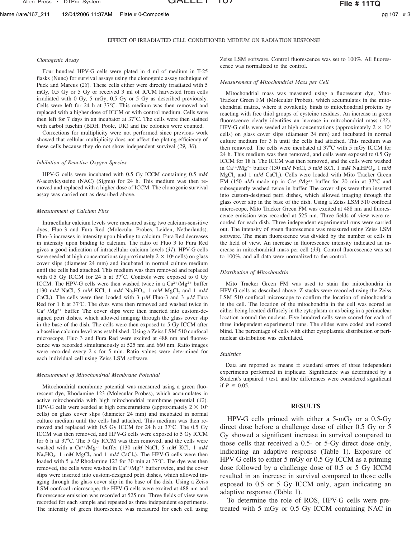Allen Press • DTPro System **GALLEY IV GALLEY IV File # 11TQ** 

#### *Clonogenic Assay*

Four hundred HPV-G cells were plated in 4 ml of medium in T-25 flasks (Nunc) for survival assays using the clonogenic assay technique of Puck and Marcus (*28*). These cells either were directly irradiated with 5 mGy, 0.5 Gy or 5 Gy or received 3 ml of ICCM harvested from cells irradiated with 0 Gy, 5 mGy, 0.5 Gy or 5 Gy as described previously. Cells were left for 24 h at  $37^{\circ}$ C. This medium was then removed and replaced with a higher dose of ICCM or with control medium. Cells were then left for 7 days in an incubator at 37°C. The cells were then stained with carbol fuschin (BDH, Poole, UK) and the colonies were counted.

Corrections for multiplicity were not performed since previous work showed that cellular multiplicity does not affect the plating efficiency of these cells because they do not show independent survival (*29, 30*).

#### *Inhibition of Reactive Oxygen Species*

HPV-G cells were incubated with 0.5 Gy ICCM containing 0.5 m*M N*-acetylcysteine (NAC) (Sigma) for 24 h. This medium was then removed and replaced with a higher dose of ICCM. The clonogenic survival assay was carried out as described above.

#### *Measurement of Calcium Flux*

Intracellular calcium levels were measured using two calcium-sensitive dyes, Fluo-3 and Fura Red (Molecular Probes, Leiden, Netherlands). Fluo-3 increases in intensity upon binding to calcium. Fura Red decreases in intensity upon binding to calcium. The ratio of Fluo 3 to Fura Red gives a good indication of intracellular calcium levels (*31*). HPV-G cells were seeded at high concentrations (approximately  $2 \times 10^5$  cells) on glass cover slips (diameter 24 mm) and incubated in normal culture medium until the cells had attached. This medium was then removed and replaced with  $0.5$  Gy ICCM for 24 h at  $37^{\circ}$ C. Controls were exposed to 0 Gy ICCM. The HPV-G cells were then washed twice in a  $Ca^{2+}/Mg^{2+}$  buffer (130 m*M* NaCl, 5 m*M* KCl, 1 m*M* Na<sub>2</sub>HO<sub>4</sub>, 1 m*M* MgCl<sub>2</sub> and 1 m*M* CaCl<sub>2</sub>). The cells were then loaded with 3  $\mu$ *M* Fluo-3 and 3  $\mu$ *M* Fura Red for 1 h at 37°C. The dyes were then removed and washed twice in  $Ca^{2+}/Mg^{2+}$  buffer. The cover slips were then inserted into custom-designed petri dishes, which allowed imaging through the glass cover slip in the base of the dish. The cells were then exposed to 5 Gy ICCM after a baseline calcium level was established. Using a Zeiss LSM 510 confocal microscope, Fluo 3 and Fura Red were excited at 488 nm and fluorescence was recorded simultaneously at 525 nm and 660 nm. Ratio images were recorded every 2 s for 5 min. Ratio values were determined for each individual cell using Zeiss LSM software.

#### *Measurement of Mitochondrial Membrane Potential*

Mitochondrial membrane potential was measured using a green fluorescent dye, Rhodamine 123 (Molecular Probes), which accumulates in active mitochondria with high mitochondrial membrane potential (*32*). HPV-G cells were seeded at high concentrations (approximately  $2 \times 10^5$ ) cells) on glass cover slips (diameter 24 mm) and incubated in normal culture medium until the cells had attached. This medium was then removed and replaced with 0.5 Gy ICCM for 24 h at 37°C. The 0.5 Gy ICCM was then removed, and HPV-G cells were exposed to 5 Gy ICCM for 6 h at 37°C. The 5 Gy ICCM was then removed, and the cells were washed with a Ca<sup>2+</sup>/Mg<sup>2+</sup> buffer (130 mM NaCl, 5 mM KCl, 1 mM Na<sub>2</sub>HO<sub>4</sub>, 1 m*M* MgCl<sub>2</sub> and 1 m*M* CaCl<sub>2</sub>). The HPV-G cells were then loaded with 5  $\mu$ *M* Rhodamine 123 for 30 min at 37°C. The dye was then removed, the cells were washed in  $Ca^{2+}/Mg^{2+}$  buffer twice, and the cover slips were inserted into custom-designed petri dishes, which allowed imaging through the glass cover slip in the base of the dish. Using a Zeiss LSM confocal microscope, the HPV-G cells were excited at 488 nm and fluorescence emission was recorded at 525 nm. Three fields of view were recorded for each sample and repeated as three independent experiments. The intensity of green fluorescence was measured for each cell using

Zeiss LSM software. Control fluorescence was set to 100%. All fluorescence was normalized to the control.

#### *Measurement of Mitochondrial Mass per Cell*

Mitochondrial mass was measured using a fluorescent dye, Mito-Tracker Green FM (Molecular Probes), which accumulates in the mitochondrial matrix, where it covalently binds to mitochondrial proteins by reacting with free thiol groups of cysteine residues. An increase in green fluorescence clearly identifies an increase in mitochondrial mass (*33*). HPV-G cells were seeded at high concentrations (approximately  $2 \times 10^5$ cells) on glass cover slips (diameter 24 mm) and incubated in normal culture medium for 3 h until the cells had attached. This medium was then removed. The cells were incubated at  $37^{\circ}$ C with 5 mGy ICCM for 24 h. This medium was then removed, and cells were exposed to 0.5 Gy ICCM for 18 h. The ICCM was then removed, and the cells were washed in Ca<sup>2+</sup>/Mg<sup>2+</sup> buffer (130 mM NaCl, 5 mM KCl, 1 mM Na<sub>2</sub>HPO<sub>4</sub>, 1 mM MgCl<sub>2</sub> and 1 mM CaCl<sub>2</sub>). Cells were loaded with Mito Tracker Green FM (150 nM) made up in  $Ca^{2+}/Mg^{2+}$  buffer for 20 min at 37°C and subsequently washed twice in buffer. The cover slips were then inserted into custom-designed petri dishes, which allowed imaging through the glass cover slip in the base of the dish. Using a Zeiss LSM 510 confocal microscope, Mito Tracker Green FM was excited at 488 nm and fluorescence emission was recorded at 525 nm. Three fields of view were recorded for each dish. Three independent experimental runs were carried out. The intensity of green fluorescence was measured using Zeiss LSM software. The mean fluorescence was divided by the number of cells in the field of view. An increase in fluorescence intensity indicated an increase in mitochondrial mass per cell (*33*). Control fluorescence was set to 100%, and all data were normalized to the control.

#### *Distribution of Mitochondria*

Mito Tracker Green FM was used to stain the mitochondria in HPV-G cells as described above. Z-stacks were recorded using the Zeiss LSM 510 confocal microscope to confirm the location of mitochondria in the cell. The location of the mitochondria in the cell was scored as either being located diffusely in the cytoplasm or as being in a perinuclear location around the nucleus. Five hundred cells were scored for each of three independent experimental runs. The slides were coded and scored blind. The percentage of cells with either cytoplasmic distribution or perinuclear distribution was calculated.

#### *Statistics*

Data are reported as means  $\pm$  standard errors of three independent experiments performed in triplicate. Significance was determined by a Student's unpaired *t* test, and the differences were considered significant if  $P \le 0.05$ .

### **RESULTS**

HPV-G cells primed with either a 5-mGy or a 0.5-Gy direct dose before a challenge dose of either 0.5 Gy or 5 Gy showed a significant increase in survival compared to those cells that received a 0.5- or 5-Gy direct dose only, indicating an adaptive response (Table 1). Exposure of HPV-G cells to either 5 mGy or 0.5 Gy ICCM as a priming dose followed by a challenge dose of 0.5 or 5 Gy ICCM resulted in an increase in survival compared to those cells exposed to 0.5 or 5 Gy ICCM only, again indicating an adaptive response (Table 1).

To determine the role of ROS, HPV-G cells were pretreated with 5 mGy or 0.5 Gy ICCM containing NAC in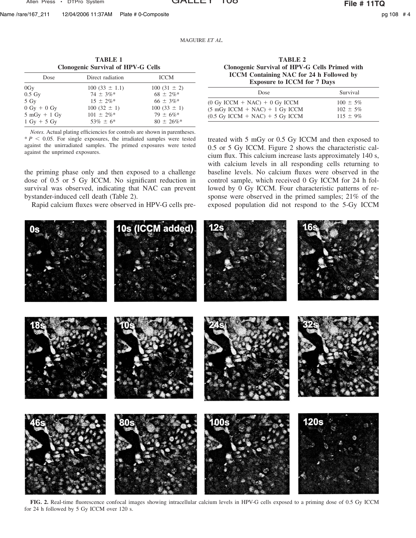Name /rare/167\_211 12/04/2006 11:37AM Plate # 0-Composite pg 108 # 4

MAGUIRE *ET AL.*

| <b>TABLE 1</b><br><b>Clonogenic Survival of HPV-G Cells</b> |                   |                 |  |  |
|-------------------------------------------------------------|-------------------|-----------------|--|--|
| Dose                                                        | Direct radiation  | <b>ICCM</b>     |  |  |
| 0Gy                                                         | $100(33 \pm 1.1)$ | $100(31 \pm 2)$ |  |  |
| $0.5\ Gy$                                                   | $74 \pm 3\%$ *    | $68 \pm 2\%$ *  |  |  |
| $5 \text{ Gy}$                                              | $15 + 2\%$ *      | $66 \pm 3\%$ *  |  |  |
| $0 \text{ Gy} + 0 \text{ Gy}$                               | $100(32 \pm 1)$   | $100(33 \pm 1)$ |  |  |
| $5 mGy + 1 Gy$                                              | $101 \pm 2\%$ *   | $79 \pm 6\%$ *  |  |  |
| $1$ Gy + 5 Gy                                               | $53\% \pm 6*$     | $80 \pm 26\%$ * |  |  |

*Notes.* Actual plating efficiencies for controls are shown in parentheses.  $* P < 0.05$ . For single exposures, the irradiated samples were tested against the unirradiated samples. The primed exposures were tested against the unprimed exposures.

the priming phase only and then exposed to a challenge dose of 0.5 or 5 Gy ICCM. No significant reduction in survival was observed, indicating that NAC can prevent bystander-induced cell death (Table 2).

Rapid calcium fluxes were observed in HPV-G cells pre-

**TABLE 2 Clonogenic Survival of HPV-G Cells Primed with ICCM Containing NAC for 24 h Followed by Exposure to ICCM for 7 Days**

| Dose                                                                                        | Survival                       |
|---------------------------------------------------------------------------------------------|--------------------------------|
| $(0 \text{ Gy }$ ICCM + NAC $)$ + 0 Gy ICCM<br>$(5 \text{ mGy }$ ICCM + NAC $)$ + 1 Gy ICCM | $100 \pm 5\%$<br>$102 \pm 5\%$ |
| $(0.5 \text{ Gy }$ ICCM + NAC) + 5 Gy ICCM                                                  | $115 \pm 9\%$                  |

treated with 5 mGy or 0.5 Gy ICCM and then exposed to 0.5 or 5 Gy ICCM. Figure 2 shows the characteristic calcium flux. This calcium increase lasts approximately 140 s, with calcium levels in all responding cells returning to baseline levels. No calcium fluxes were observed in the control sample, which received 0 Gy ICCM for 24 h followed by 0 Gy ICCM. Four characteristic patterns of response were observed in the primed samples; 21% of the exposed population did not respond to the 5-Gy ICCM



**FIG. 2.** Real-time fluorescence confocal images showing intracellular calcium levels in HPV-G cells exposed to a priming dose of 0.5 Gy ICCM for 24 h followed by 5 Gy ICCM over 120 s.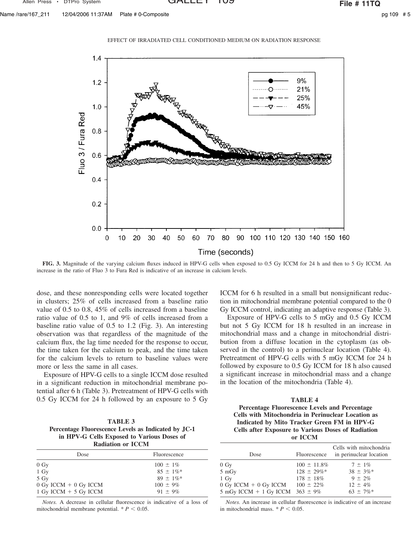Name /rare/167\_211 12/04/2006 11:37AM Plate # 0-Composite pg 109 and the composite pg 109 and the composite pg 109 and the composite



**FIG. 3.** Magnitude of the varying calcium fluxes induced in HPV-G cells when exposed to 0.5 Gy ICCM for 24 h and then to 5 Gy ICCM. An increase in the ratio of Fluo 3 to Fura Red is indicative of an increase in calcium levels.

dose, and these nonresponding cells were located together in clusters; 25% of cells increased from a baseline ratio value of 0.5 to 0.8, 45% of cells increased from a baseline ratio value of 0.5 to 1, and 9% of cells increased from a baseline ratio value of 0.5 to 1.2 (Fig. 3). An interesting observation was that regardless of the magnitude of the calcium flux, the lag time needed for the response to occur, the time taken for the calcium to peak, and the time taken for the calcium levels to return to baseline values were more or less the same in all cases.

Exposure of HPV-G cells to a single ICCM dose resulted in a significant reduction in mitochondrial membrane potential after 6 h (Table 3). Pretreatment of HPV-G cells with 0.5 Gy ICCM for 24 h followed by an exposure to 5 Gy

| <b>TABLE 3</b>                                      |
|-----------------------------------------------------|
| Percentage Fluorescence Levels as Indicated by JC-1 |
| in HPV-G Cells Exposed to Various Doses of          |
| <b>Radiation or ICCM</b>                            |

| Dose                      | Fluorescence   |
|---------------------------|----------------|
| $0 \text{ Gy}$            | $100 \pm 1\%$  |
| $1\ Gy$                   | $85 + 1\%$ *   |
| 5 Gy                      | $89 \pm 1\%$ * |
| $0$ Gy ICCM $+$ 0 Gy ICCM | $100 \pm 9\%$  |
| 1 Gy ICCM $+$ 5 Gy ICCM   | $91 \pm 9\%$   |

*Notes.* A decrease in cellular fluorescence is indicative of a loss of mitochondrial membrane potential.  $* P < 0.05$ .

ICCM for 6 h resulted in a small but nonsignificant reduction in mitochondrial membrane potential compared to the 0 Gy ICCM control, indicating an adaptive response (Table 3).

Exposure of HPV-G cells to 5 mGy and 0.5 Gy ICCM but not 5 Gy ICCM for 18 h resulted in an increase in mitochondrial mass and a change in mitochondrial distribution from a diffuse location in the cytoplasm (as observed in the control) to a perinuclear location (Table 4). Pretreatment of HPV-G cells with 5 mGy ICCM for 24 h followed by exposure to 0.5 Gy ICCM for 18 h also caused a significant increase in mitochondrial mass and a change in the location of the mitochondria (Table 4).

| TABLE 4                                                   |  |  |
|-----------------------------------------------------------|--|--|
| Percentage Fluorescence Levels and Percentage             |  |  |
| <b>Cells with Mitochondria in Perinuclear Location as</b> |  |  |
| Indicated by Mito Tracker Green FM in HPV-G               |  |  |
| <b>Cells after Exposure to Various Doses of Radiation</b> |  |  |
| or <b>ICCM</b>                                            |  |  |

| Dose                                                                                                    | Fluorescence                                                             | Cells with mitochondria<br>in perinuclear location                             |
|---------------------------------------------------------------------------------------------------------|--------------------------------------------------------------------------|--------------------------------------------------------------------------------|
| $0 \text{ Gy}$<br>5 mGy<br>$1\ Gv$<br>$0$ Gy ICCM $+$ 0 Gy ICCM<br>5 mGy ICCM + 1 Gy ICCM $363 \pm 9\%$ | $100 \pm 11.8\%$<br>$128 \pm 29\%$ *<br>$178 \pm 18\%$<br>$100 \pm 22\%$ | $7 \pm 1\%$<br>$38 \pm 3\%$ *<br>$9 \pm 2\%$<br>$12 \pm 4\%$<br>$63 \pm 7\%$ * |

*Notes.* An increase in cellular fluorescence is indicative of an increase in mitochondrial mass.  $* P < 0.05$ .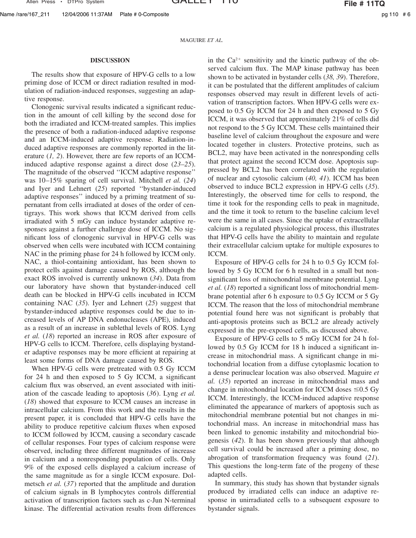Name /rare/167\_211 12/04/2006 11:37AM Plate # 0-Composite pg 110  $#6$ 

MAGUIRE *ET AL.*

## **DISCUSSION**

The results show that exposure of HPV-G cells to a low priming dose of ICCM or direct radiation resulted in modulation of radiation-induced responses, suggesting an adaptive response.

Clonogenic survival results indicated a significant reduction in the amount of cell killing by the second dose for both the irradiated and ICCM-treated samples. This implies the presence of both a radiation-induced adaptive response and an ICCM-induced adaptive response. Radiation-induced adaptive responses are commonly reported in the literature (*1, 2*). However, there are few reports of an ICCMinduced adaptive response against a direct dose (*23–25*). The magnitude of the observed ''ICCM adaptive response'' was 10–15% sparing of cell survival. Mitchell *et al.* (*24*) and Iyer and Lehnert (*25*) reported ''bystander-induced adaptive responses'' induced by a priming treatment of supernatant from cells irradiated at doses of the order of centigrays. This work shows that ICCM derived from cells irradiated with 5 mGy can induce bystander adaptive responses against a further challenge dose of ICCM. No significant loss of clonogenic survival in HPV-G cells was observed when cells were incubated with ICCM containing NAC in the priming phase for 24 h followed by ICCM only. NAC, a thiol-containing antioxidant, has been shown to protect cells against damage caused by ROS, although the exact ROS involved is currently unknown (*34*). Data from our laboratory have shown that bystander-induced cell death can be blocked in HPV-G cells incubated in ICCM containing NAC (*35*). Iyer and Lehnert (*25*) suggest that bystander-induced adaptive responses could be due to increased levels of AP DNA endonucleases (APE), induced as a result of an increase in sublethal levels of ROS. Lyng *et al.* (*18*) reported an increase in ROS after exposure of HPV-G cells to ICCM. Therefore, cells displaying bystander adaptive responses may be more efficient at repairing at least some forms of DNA damage caused by ROS.

When HPV-G cells were pretreated with 0.5 Gy ICCM for 24 h and then exposed to 5 Gy ICCM, a significant calcium flux was observed, an event associated with initiation of the cascade leading to apoptosis (*36*). Lyng *et al.* (*18*) showed that exposure to ICCM causes an increase in intracellular calcium. From this work and the results in the present paper, it is concluded that HPV-G cells have the ability to produce repetitive calcium fluxes when exposed to ICCM followed by ICCM, causing a secondary cascade of cellular responses. Four types of calcium response were observed, including three different magnitudes of increase in calcium and a nonresponding population of cells. Only 9% of the exposed cells displayed a calcium increase of the same magnitude as for a single ICCM exposure. Dolmetsch *et al.* (*37*) reported that the amplitude and duration of calcium signals in B lymphocytes controls differential activation of transcription factors such as c-Jun N-terminal kinase. The differential activation results from differences

in the  $Ca^{2+}$  sensitivity and the kinetic pathway of the observed calcium flux. The MAP kinase pathway has been shown to be activated in bystander cells (*38, 39*). Therefore, it can be postulated that the different amplitudes of calcium responses observed may result in different levels of activation of transcription factors. When HPV-G cells were exposed to 0.5 Gy ICCM for 24 h and then exposed to 5 Gy ICCM, it was observed that approximately 21% of cells did not respond to the 5 Gy ICCM. These cells maintained their baseline level of calcium throughout the exposure and were located together in clusters. Protective proteins, such as BCL2, may have been activated in the nonresponding cells that protect against the second ICCM dose. Apoptosis suppressed by BCL2 has been correlated with the regulation of nuclear and cytosolic calcium (*40, 41*). ICCM has been observed to induce BCL2 expression in HPV-G cells (*35*). Interestingly, the observed time for cells to respond, the time it took for the responding cells to peak in magnitude, and the time it took to return to the baseline calcium level were the same in all cases. Since the uptake of extracellular calcium is a regulated physiological process, this illustrates that HPV-G cells have the ability to maintain and regulate their extracellular calcium uptake for multiple exposures to ICCM.

Exposure of HPV-G cells for 24 h to 0.5 Gy ICCM followed by 5 Gy ICCM for 6 h resulted in a small but nonsignificant loss of mitochondrial membrane potential. Lyng *et al.* (*18*) reported a significant loss of mitochondrial membrane potential after 6 h exposure to 0.5 Gy ICCM or 5 Gy ICCM. The reason that the loss of mitochondrial membrane potential found here was not significant is probably that anti-apoptosis proteins such as BCL2 are already actively expressed in the pre-exposed cells, as discussed above.

Exposure of HPV-G cells to 5 mGy ICCM for 24 h followed by 0.5 Gy ICCM for 18 h induced a significant increase in mitochondrial mass. A significant change in mitochondrial location from a diffuse cytoplasmic location to a dense perinuclear location was also observed. Maguire *et al.* (*35*) reported an increase in mitochondrial mass and change in mitochondrial location for ICCM doses  $\leq 0.5$  Gy ICCM. Interestingly, the ICCM-induced adaptive response eliminated the appearance of markers of apoptosis such as mitochondrial membrane potential but not changes in mitochondrial mass. An increase in mitochondrial mass has been linked to genomic instability and mitochondrial biogenesis (*42*). It has been shown previously that although cell survival could be increased after a priming dose, no abrogation of transformation frequency was found (*21*). This questions the long-term fate of the progeny of these adapted cells.

In summary, this study has shown that bystander signals produced by irradiated cells can induce an adaptive response in unirradiated cells to a subsequent exposure to bystander signals.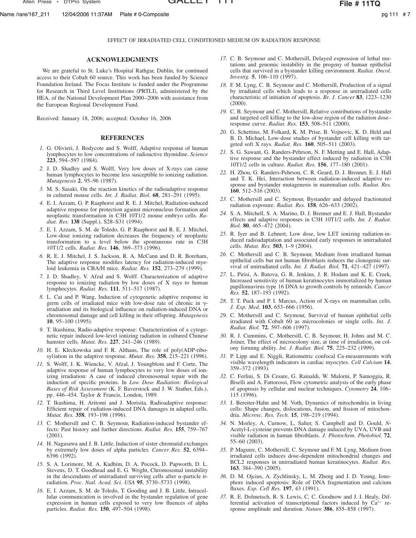Name /rare/167\_211 12/04/2006 11:37AM Plate # 0-Composite pg 11 and the page 111 # 7

EFFECT OF IRRADIATED CELL CONDITIONED MEDIUM ON RADIATION RESPONSE

## **ACKNOWLEDGMENTS**

We are grateful to St. Luke's Hospital Rathgar, Dublin, for continued access to their Cobalt 60 source. This work has been funded by Science Foundation Ireland. The Focas Institute is funded under the Programme for Research in Third Level Institutions (PRTLI), administered by the HEA, of the National Development Plan 2000–2006 with assistance from the European Regional Development Fund.

Received: January 18, 2006; accepted: October 16, 2006

## **REFERENCES**

- *1.* G. Olivieri, J. Bodycote and S. Wolff, Adaptive response of human lymphocytes to low concentrations of radioactive thymidine. *Science* **223**, 594–597 (1984).
- *2.* J. D. Shadley and S. Wolff, Very low doses of X-rays can cause human lymphocytes to become less susceptible to ionizing radiation. *Mutagenesis* **2**, 95–96 (1987).
- *3.* M. S. Sasaki, On the reaction kinetics of the radioadaptive response in cultured mouse cells. *Int. J. Radiat. Biol.* **68**, 281–291 (1995).
- *4.* E. I. Azzam, G. P. Raaphorst and R. E. J. Mitchel, Radiation-induced adaptive response for protection against micronucleus formation and neoplastic transformation in C3H 10T1/2 mouse embryo cells. *Radiat. Res.* **138** (Suppl.), S28–S31 (1994).
- *5.* E. I. Azzam, S. M. de Toledo, G. P. Raaphorst and R. E. J. Mitchel, Low-dose ionizing radiation decreases the frequency of neoplastic transformation to a level below the spontaneous rate in C3H 10T1/2 cells. *Radiat. Res.* **146**, 369–373 (1996).
- *6.* R. E. J. Mitchel, J. S. Jackson, R. A. McCann and D. R. Boreham, The adaptive response modifies latency for radiation-induced myeloid leukemia in CBA/H mice. *Radiat. Res.* **152**, 273–279 (1999).
- *7.* J. D. Shadley, V. Afzal and S. Wolff. Characterization of adaptive response to ionizing radiation by low doses of X rays to human lymphocytes. *Radiat. Res.* **111**, 511–517 (1987).
- *8.* L. Cai and P. Wang, Induction of cytogenetic adaptive response in germ cells of irradiated mice with low-dose rate of chronic in  $\gamma$ irradiation and its biological influence on radiation-induced DNA or chromosomal damage and cell killing in their offspring. *Mutagenesis* **10**, 95–100 (1995).
- *9.* T. Ikushima, Radio-adaptive response: Characterization of a cytogenetic repair induced low-level ionizing radiation in cultured Chinese hamster cells. *Mutat. Res.* **227**, 241–246 (1989).
- *10.* H. E. Kleckowska and F. R. Althaus, The role of poly(ADP-ribosyl)ation in the adaptive response. *Mutat. Res.* **358**, 215–221 (1996).
- *11.* S. Wolff, J. K. Wiencke, V. Afzal, J. Youngblom and F. Corte, The adaptive response of human lymphocytes to very low doses of ionizing irradiation: A case of induced chromosomal repair with the induction of specific proteins. In *Low Dose Radiation: Biological Bases of Risk Assessment* (K. F. Baverstock and J. W. Stather, Eds.), pp. 446–454. Taylor & Francis, London, 1989.
- *12.* T. Ikushima, H. Aritomi and J. Morisita, Radioadaptive response: Efficient repair of radiation-induced DNA damages in adapted cells. *Mutat. Res.* **358**, 193–198 (1996).
- *13.* C. Mothersill and C. B. Seymour, Radiation-induced bystander effects: Past history and further directions. *Radiat. Res.* **155**, 759–767 (2001).
- *14.* H. Nagasawa and J. B. Little, Induction of sister chromatid exchanges by extremely low doses of alpha particles. *Cancer Res.* **52**, 6394– 6396 (1992).
- *15.* S. A. Lorimore, M. A. Kadhim, D. A. Pocock, D. Papworth, D. L. Stevens, D. T. Goodhead and E. G. Wright, Chromosomal instability in the descendants of unirradiated surviving cells after  $\alpha$ -particle irradiation. *Proc. Natl. Acad. Sci. USA* **95**, 5730–5733 (1998).
- *16.* E. I. Azzam, S. M. de Toledo, T. Gooding and J. B. Little, Intracellular communication is involved in the bystander regulation of gene expression in human cells exposed to very low fluences of alpha particles. *Radiat. Res.* **150**, 497–504 (1998).
- *17.* C. B. Seymour and C. Mothersill, Delayed expression of lethal mutations and genomic instability in the progeny of human epithelial cells that survived in a bystander killing environment. *Radiat. Oncol. Investig.* **5**, 106–110 (1997).
- *18.* F. M. Lyng, C. B. Seymour and C. Mothersill, Production of a signal by irradiated cells which leads to a response in unirradiated cells characteristic of initiation of apoptosis. *Br. J. Cancer* **83**, 1223–1230 (2000).
- *19.* C. B. Seymour and C. Mothersill, Relative contributions of bystander and targeted cell killing to the low-dose region of the radiation dose– response curve. *Radiat. Res.* **153**, 508–511 (2000).
- *20.* G. Schettino, M. Folkard, K. M. Prise, B. Vojnovic, K. D. Held and B. D. Michael, Low-dose studies of bystander cell killing with targeted soft X rays. *Radiat. Res.* **160**, 505–511 (2003).
- *21.* S. G. Sawant, G. Randers-Pehrson, N. F. Metting and E. Hall, Adaptive response and the bystander effect induced by radiation in C3H 10T1/2 cells in culture. *Radiat. Res.* **156**, 177–180 (2001).
- *22.* H. Zhou, G. Randers-Pehrson, C. R. Geard, D. J. Brenner, E. J. Hall and T. K. Hei, Interaction between radiation-induced adaptive response and bystander mutagenesis in mammalian cells. *Radiat. Res.* **160**, 512–516 (2003).
- *23.* C. Mothersill and C. Seymour, Bystander and delayed fractionated radiation exposure. *Radiat. Res.* **158**, 626–633 (2002).
- *24.* S. A. Mitchell, S. A. Marino, D. J. Brenner and E. J. Hall, Bystander effects and adaptive responses in C3H 10T1/2 cells. *Int. J. Radiat. Biol.* **80**, 465–472 (2004).
- *25.* R. Iyer and B. Lehnert, Low dose, low LET ionizing radiation-induced radioadaptation and associated early responses in unirradiated cells. *Mutat. Res.* **503**, 1–9 (2004).
- *26.* C. Mothersill and C. B. Seymour, Medium from irradiated human epithelial cells but not human fibroblasts reduces the clonogenic survival of unirradiated cells. *Int. J. Radiat. Biol.* **71**, 421–427 (1997).
- *27.* L. Pirisi, A. Batova, G. R. Jenkins, J. R. Hodam and K. E. Creek, Increased sensitivity of human keratinocytes immortalized by human papillomavirus type 16 DNA to growth controls by retinoids. *Cancer Res.* **52**, 187–193 (1992).
- *28.* T. T. Puck and P. I. Marcus, Action of X-rays on mammalian cells. *J. Exp. Med.* **103**, 653–666 (1956).
- *29.* C. Mothersill and C. Seymour, Survival of human epithelial cells irradiated with Cobalt 60 as microcolonies or single cells. *Int. J. Radiat. Biol.* **72**, 597–606 (1997).
- *30.* R. J. Cummins, C. Mothersill, C. B. Seymour, H. Johns and M. C. Joiner, The effect of microcolony size, at time of irradiation, on colony forming ability. *Int. J. Radiat. Biol.* **75**, 225–232 (1999).
- *31.* P. Lipp and E. Niggli, Ratiometric confocal Ca-measurements with visible wavelength indicators in cardiac myocytes. *Cell Calcium* **14**, 359–372 (1993).
- *32.* C. Ferlini, S. Di Cesare, G. Rainaldi, W. Malorni, P. Samoggia, R. Biselli and A. Fattorossi, Flow cytometric analysis of the early phase of apoptosis by cellular and nuclear techniques. *Cytometry* **24**, 106– 115 (1996).
- *33.* J. Bereiter-Hahn and M. Voth, Dynamics of mitochondria in living cells: Shape changes, dislocations, fusion, and fission of mitochondria. *Microsc. Res. Tech.* **15**, 198–219 (1994).
- *34.* N. Morley, A. Curnow, L, Salter, S. Campbell and D. Gould, *N*-Acetyl-L-cysteine prevents DNA damage induced by UVA, UVB and visible radiation in human fibroblasts. *J. Photochem. Photobiol.* **72**, 55–60 (2003).
- *35.* P. Maguire, C. Mothersill, C. Seymour and F. M. Lyng, Medium from irradiated cells induces dose-dependent mitochondrial changes and BCL2 responses in unirradiated human keratinocytes. *Radiat. Res.* **163**, 384–390 (2005).
- *36.* D. M. Ojcius, A. Zychlinsky, L. M. Zheng and J. D. Young, Ionophore induced apoptosis: Role of DNA fragmentation and calcium fluxes. *Exp. Cell Res.* **197**, 43 (1991).
- *37.* R. E. Dolmetsch, R. S. Lewis, C. C. Goodnow and J. I. Healy, Differential activation of transcriptional factors induced by  $Ca^{2+}$  response amplitude and duration. *Nature* **386**, 855–858 (1997).